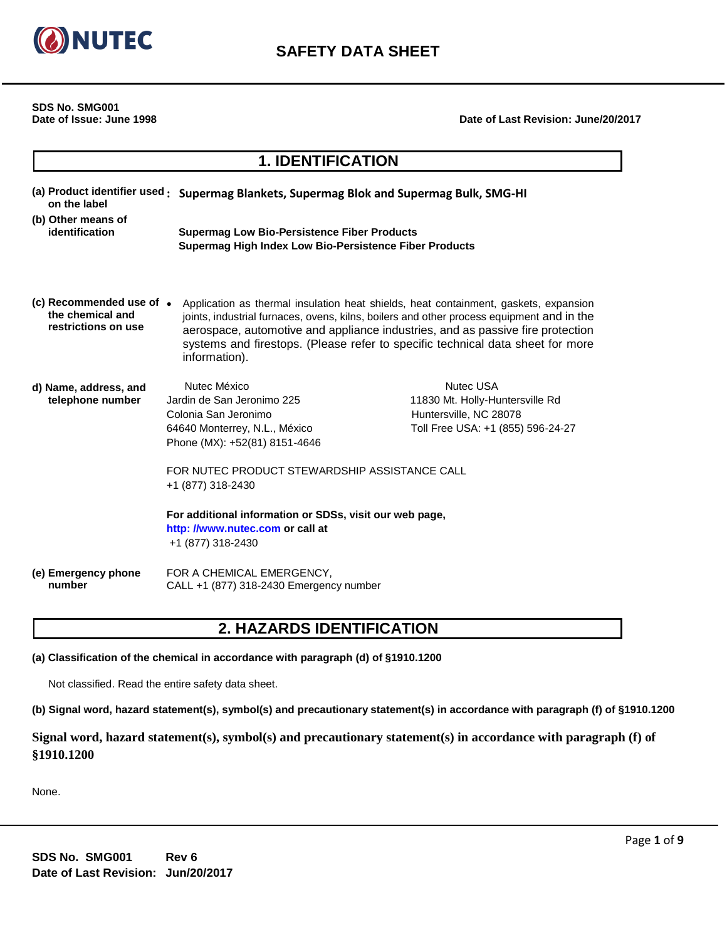

**SDS No. SMG001**

**Date of Issue: June 1998 Date of Last Revision: June/20/2017**

# **1. IDENTIFICATION**

| (a) Product identifier used -<br>on the label                       | Supermag Blankets, Supermag Blok and Supermag Bulk, SMG-HI                                                                                                                                                                                                                                                                                                             |                                                                                                                    |
|---------------------------------------------------------------------|------------------------------------------------------------------------------------------------------------------------------------------------------------------------------------------------------------------------------------------------------------------------------------------------------------------------------------------------------------------------|--------------------------------------------------------------------------------------------------------------------|
| (b) Other means of<br>identification                                | <b>Supermag Low Bio-Persistence Fiber Products</b><br>Supermag High Index Low Bio-Persistence Fiber Products                                                                                                                                                                                                                                                           |                                                                                                                    |
| (c) Recommended use of •<br>the chemical and<br>restrictions on use | Application as thermal insulation heat shields, heat containment, gaskets, expansion<br>joints, industrial furnaces, ovens, kilns, boilers and other process equipment and in the<br>aerospace, automotive and appliance industries, and as passive fire protection<br>systems and firestops. (Please refer to specific technical data sheet for more<br>information). |                                                                                                                    |
| d) Name, address, and<br>telephone number                           | Nutec México<br>Jardin de San Jeronimo 225<br>Colonia San Jeronimo<br>64640 Monterrey, N.L., México<br>Phone (MX): +52(81) 8151-4646<br>FOR NUTEC PRODUCT STEWARDSHIP ASSISTANCE CALL<br>+1 (877) 318-2430<br>For additional information or SDSs, visit our web page,<br>http: //www.nutec.com or call at<br>+1 (877) 318-2430                                         | <b>Nutec USA</b><br>11830 Mt. Holly-Huntersville Rd<br>Huntersville, NC 28078<br>Toll Free USA: +1 (855) 596-24-27 |
| (e) Emergency phone<br>number                                       | FOR A CHEMICAL EMERGENCY,<br>CALL +1 (877) 318-2430 Emergency number                                                                                                                                                                                                                                                                                                   |                                                                                                                    |

# **2. HAZARDS IDENTIFICATION**

**(a) Classification of the chemical in accordance with paragraph (d) of §1910.1200**

Not classified. Read the entire safety data sheet.

**(b) Signal word, hazard statement(s), symbol(s) and precautionary statement(s) in accordance with paragraph (f) of §1910.1200**

**Signal word, hazard statement(s), symbol(s) and precautionary statement(s) in accordance with paragraph (f) of §1910.1200**

None.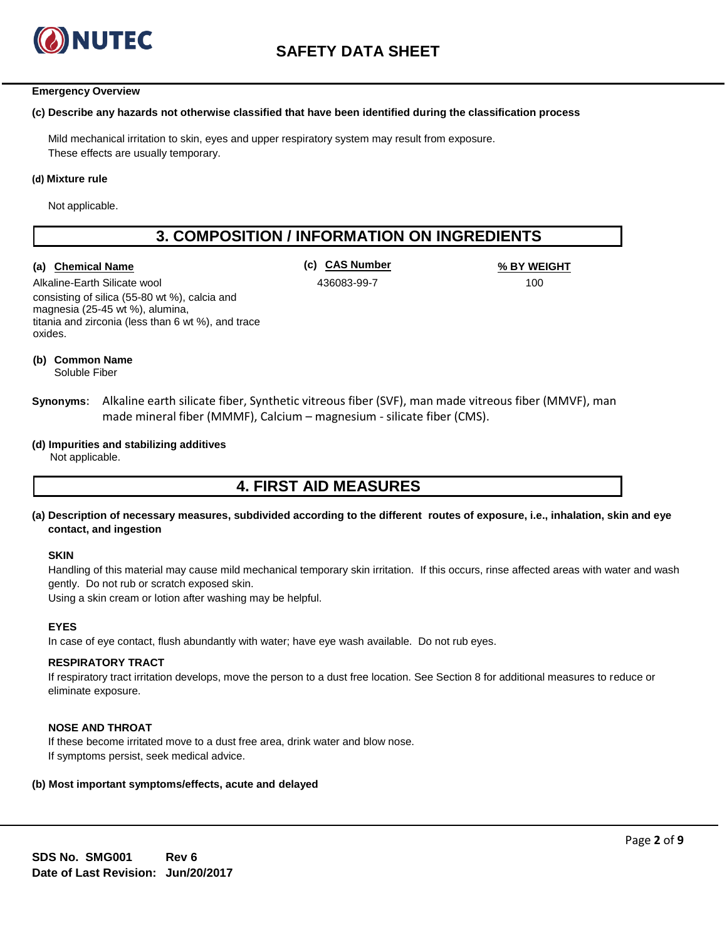

#### **Emergency Overview**

#### **(c) Describe any hazards not otherwise classified that have been identified during the classification process**

Mild mechanical irritation to skin, eyes and upper respiratory system may result from exposure. These effects are usually temporary.

#### **(d) Mixture rule**

Not applicable.

# **3. COMPOSITION / INFORMATION ON INGREDIENTS**

### **(a) Chemical Name (c) CAS Number % BY WEIGHT**

Alkaline-Earth Silicate wool consisting of silica (55-80 wt %), calcia and magnesia (25-45 wt %), alumina, titania and zirconia (less than 6 wt %), and trace oxides.

436083-99-7 100

**(b) Common Name**

Soluble Fiber

- **Synonyms**: Alkaline earth silicate fiber, Synthetic vitreous fiber (SVF), man made vitreous fiber (MMVF), man made mineral fiber (MMMF), Calcium – magnesium - silicate fiber (CMS).
- **(d) Impurities and stabilizing additives**

Not applicable.

## **4. FIRST AID MEASURES**

**(a) Description of necessary measures, subdivided according to the different routes of exposure, i.e., inhalation, skin and eye contact, and ingestion**

#### **SKIN**

Handling of this material may cause mild mechanical temporary skin irritation. If this occurs, rinse affected areas with water and wash gently. Do not rub or scratch exposed skin.

Using a skin cream or lotion after washing may be helpful.

#### **EYES**

In case of eye contact, flush abundantly with water; have eye wash available. Do not rub eyes.

## **RESPIRATORY TRACT**

If respiratory tract irritation develops, move the person to a dust free location. See Section 8 for additional measures to reduce or eliminate exposure.

#### **NOSE AND THROAT**

If these become irritated move to a dust free area, drink water and blow nose. If symptoms persist, seek medical advice.

### **(b) Most important symptoms/effects, acute and delayed**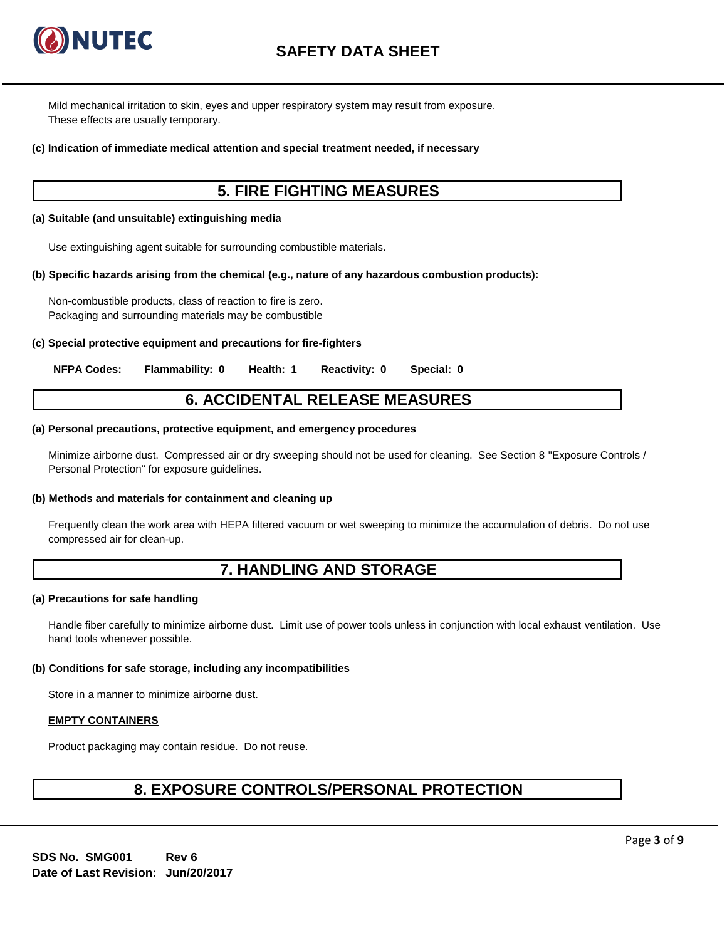

Mild mechanical irritation to skin, eyes and upper respiratory system may result from exposure. These effects are usually temporary.

#### **(c) Indication of immediate medical attention and special treatment needed, if necessary**

## **5. FIRE FIGHTING MEASURES**

#### **(a) Suitable (and unsuitable) extinguishing media**

Use extinguishing agent suitable for surrounding combustible materials.

#### **(b) Specific hazards arising from the chemical (e.g., nature of any hazardous combustion products):**

Non-combustible products, class of reaction to fire is zero. Packaging and surrounding materials may be combustible

#### **(c) Special protective equipment and precautions for fire-fighters**

**NFPA Codes: Flammability: 0 Health: 1 Reactivity: 0 Special: 0**

## **6. ACCIDENTAL RELEASE MEASURES**

#### **(a) Personal precautions, protective equipment, and emergency procedures**

Minimize airborne dust. Compressed air or dry sweeping should not be used for cleaning. See Section 8 "Exposure Controls / Personal Protection" for exposure guidelines.

#### **(b) Methods and materials for containment and cleaning up**

Frequently clean the work area with HEPA filtered vacuum or wet sweeping to minimize the accumulation of debris. Do not use compressed air for clean-up.

# **7. HANDLING AND STORAGE**

#### **(a) Precautions for safe handling**

Handle fiber carefully to minimize airborne dust. Limit use of power tools unless in conjunction with local exhaust ventilation. Use hand tools whenever possible.

#### **(b) Conditions for safe storage, including any incompatibilities**

Store in a manner to minimize airborne dust.

#### **EMPTY CONTAINERS**

Product packaging may contain residue. Do not reuse.

## **8. EXPOSURE CONTROLS/PERSONAL PROTECTION**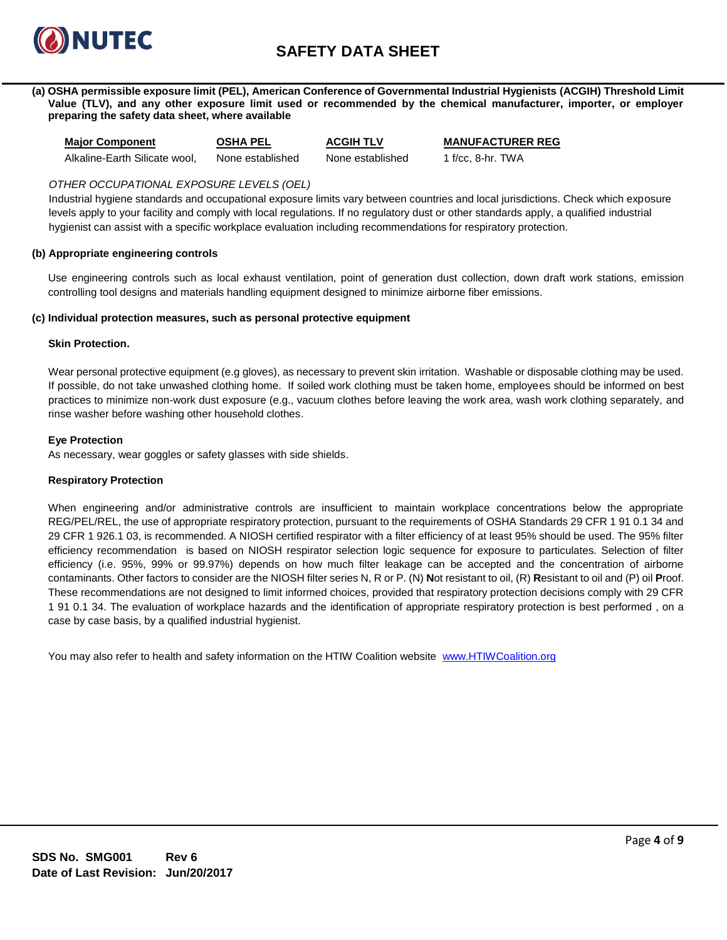

**(a) OSHA permissible exposure limit (PEL), American Conference of Governmental Industrial Hygienists (ACGIH) Threshold Limit Value (TLV), and any other exposure limit used or recommended by the chemical manufacturer, importer, or employer preparing the safety data sheet, where available**

**Major Component OSHA PEL ACGIH TLV MANUFACTURER REG** Alkaline-Earth Silicate wool, None established None established 1 f/cc, 8-hr. TWA

## *OTHER OCCUPATIONAL EXPOSURE LEVELS (OEL)*

Industrial hygiene standards and occupational exposure limits vary between countries and local jurisdictions. Check which exposure levels apply to your facility and comply with local regulations. If no regulatory dust or other standards apply, a qualified industrial hygienist can assist with a specific workplace evaluation including recommendations for respiratory protection.

#### **(b) Appropriate engineering controls**

Use engineering controls such as local exhaust ventilation, point of generation dust collection, down draft work stations, emission controlling tool designs and materials handling equipment designed to minimize airborne fiber emissions.

### **(c) Individual protection measures, such as personal protective equipment**

### **Skin Protection.**

Wear personal protective equipment (e.g gloves), as necessary to prevent skin irritation. Washable or disposable clothing may be used. If possible, do not take unwashed clothing home. If soiled work clothing must be taken home, employees should be informed on best practices to minimize non-work dust exposure (e.g., vacuum clothes before leaving the work area, wash work clothing separately, and rinse washer before washing other household clothes.

### **Eye Protection**

As necessary, wear goggles or safety glasses with side shields.

#### **Respiratory Protection**

When engineering and/or administrative controls are insufficient to maintain workplace concentrations below the appropriate REG/PEL/REL, the use of appropriate respiratory protection, pursuant to the requirements of OSHA Standards 29 CFR 1 91 0.1 34 and 29 CFR 1 926.1 03, is recommended. A NIOSH certified respirator with a filter efficiency of at least 95% should be used. The 95% filter efficiency recommendation is based on NIOSH respirator selection logic sequence for exposure to particulates. Selection of filter efficiency (i.e. 95%, 99% or 99.97%) depends on how much filter leakage can be accepted and the concentration of airborne contaminants. Other factors to consider are the NIOSH filter series N, R or P. (N) **N**ot resistant to oil, (R) **R**esistant to oil and (P) oil **P**roof. These recommendations are not designed to limit informed choices, provided that respiratory protection decisions comply with 29 CFR 1 91 0.1 34. The evaluation of workplace hazards and the identification of appropriate respiratory protection is best performed , on a case by case basis, by a qualified industrial hygienist.

You may also refer to health and safety information on the HTIW Coalition website [www.HTIWCoalition.org](http://www.htiwcoalition.org/)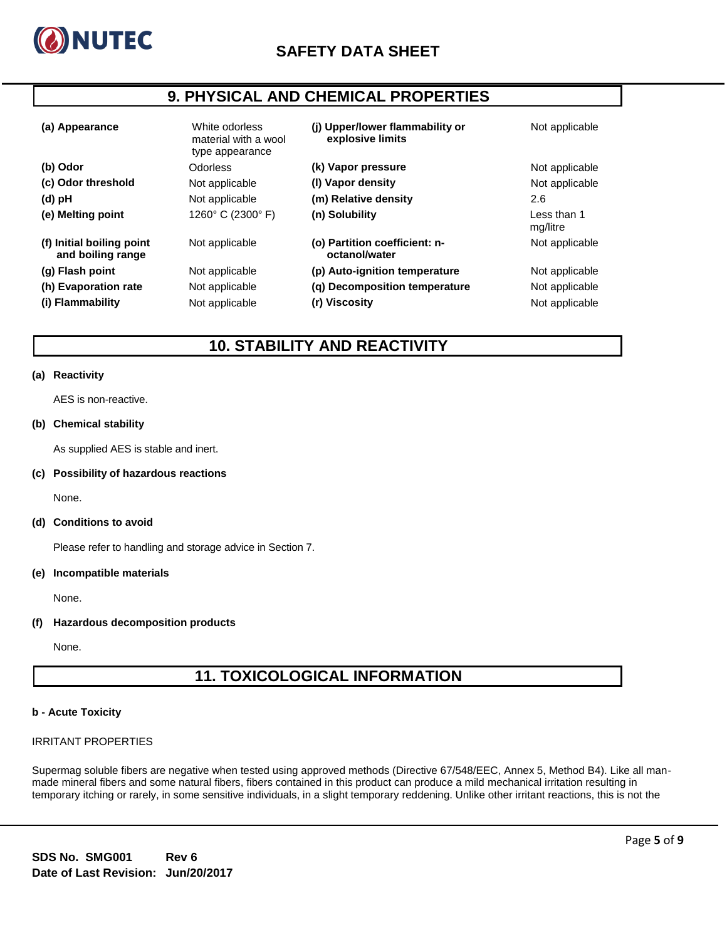

# **9. PHYSICAL AND CHEMICAL PROPERTIES**

| (a) Appearance                                 | White odorless<br>material with a wool<br>type appearance | (i) Upper/lower flammability or<br>explosive limits | Not applicable          |
|------------------------------------------------|-----------------------------------------------------------|-----------------------------------------------------|-------------------------|
| (b) Odor                                       | <b>Odorless</b>                                           | (k) Vapor pressure                                  | Not applicable          |
| (c) Odor threshold                             | Not applicable                                            | (I) Vapor density                                   | Not applicable          |
| (d) pH                                         | Not applicable                                            | (m) Relative density                                | 2.6                     |
| (e) Melting point                              | 1260° C (2300° F)                                         | (n) Solubility                                      | Less than 1<br>mg/litre |
| (f) Initial boiling point<br>and boiling range | Not applicable                                            | (o) Partition coefficient: n-<br>octanol/water      | Not applicable          |
| (g) Flash point                                | Not applicable                                            | (p) Auto-ignition temperature                       | Not applicable          |
| (h) Evaporation rate                           | Not applicable                                            | (q) Decomposition temperature                       | Not applicable          |
| (i) Flammability                               | Not applicable                                            | (r) Viscosity                                       | Not applicable          |

## **10. STABILITY AND REACTIVITY**

#### **(a) Reactivity**

AES is non-reactive.

## **(b) Chemical stability**

As supplied AES is stable and inert.

#### **(c) Possibility of hazardous reactions**

None.

#### **(d) Conditions to avoid**

Please refer to handling and storage advice in Section 7.

#### **(e) Incompatible materials**

None.

#### **(f) Hazardous decomposition products**

None.

# **11. TOXICOLOGICAL INFORMATION**

#### **b - Acute Toxicity**

#### IRRITANT PROPERTIES

Supermag soluble fibers are negative when tested using approved methods (Directive 67/548/EEC, Annex 5, Method B4). Like all manmade mineral fibers and some natural fibers, fibers contained in this product can produce a mild mechanical irritation resulting in temporary itching or rarely, in some sensitive individuals, in a slight temporary reddening. Unlike other irritant reactions, this is not the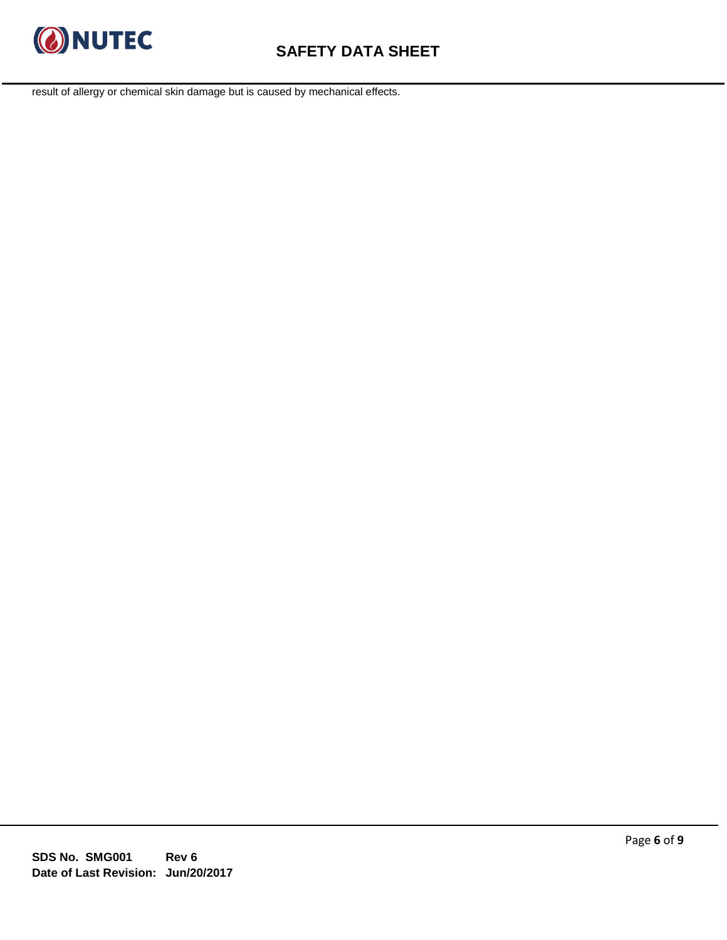

result of allergy or chemical skin damage but is caused by mechanical effects.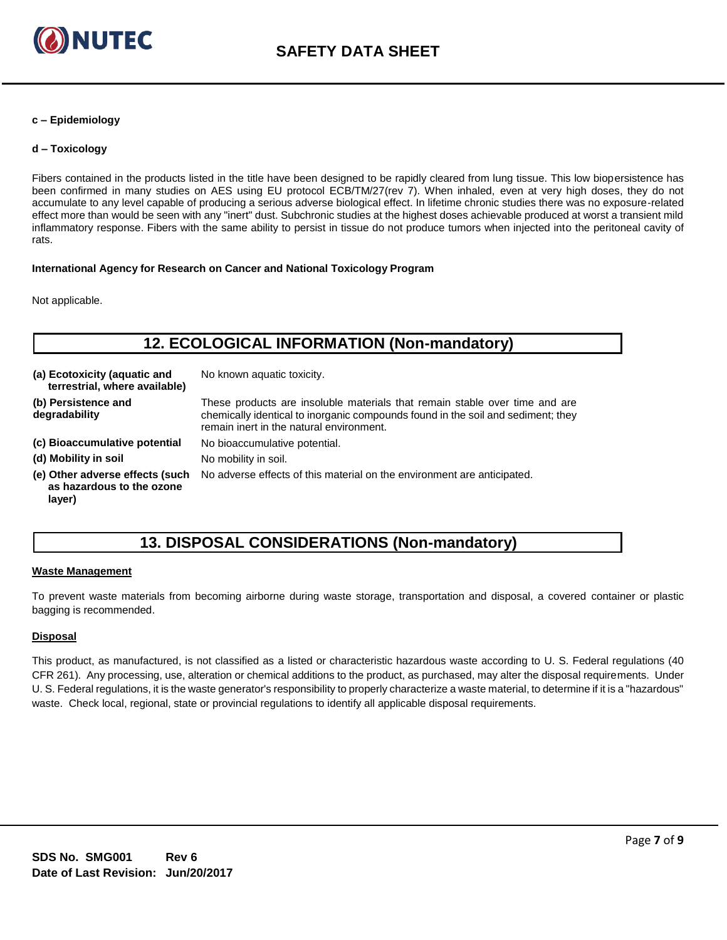

#### **c – Epidemiology**

### **d – Toxicology**

Fibers contained in the products listed in the title have been designed to be rapidly cleared from lung tissue. This low biopersistence has been confirmed in many studies on AES using EU protocol ECB/TM/27(rev 7). When inhaled, even at very high doses, they do not accumulate to any level capable of producing a serious adverse biological effect. In lifetime chronic studies there was no exposure-related effect more than would be seen with any "inert" dust. Subchronic studies at the highest doses achievable produced at worst a transient mild inflammatory response. Fibers with the same ability to persist in tissue do not produce tumors when injected into the peritoneal cavity of rats.

#### **International Agency for Research on Cancer and National Toxicology Program**

Not applicable.

# **12. ECOLOGICAL INFORMATION (Non-mandatory)**

| (a) Ecotoxicity (aquatic and<br>terrestrial, where available)          | No known aquatic toxicity.                                                                                                                                                                                  |
|------------------------------------------------------------------------|-------------------------------------------------------------------------------------------------------------------------------------------------------------------------------------------------------------|
| (b) Persistence and<br>degradability                                   | These products are insoluble materials that remain stable over time and are<br>chemically identical to inorganic compounds found in the soil and sediment; they<br>remain inert in the natural environment. |
| (c) Bioaccumulative potential                                          | No bioaccumulative potential.                                                                                                                                                                               |
| (d) Mobility in soil                                                   | No mobility in soil.                                                                                                                                                                                        |
| (e) Other adverse effects (such<br>as hazardous to the ozone<br>layer) | No adverse effects of this material on the environment are anticipated.                                                                                                                                     |

# **13. DISPOSAL CONSIDERATIONS (Non-mandatory)**

#### **Waste Management**

To prevent waste materials from becoming airborne during waste storage, transportation and disposal, a covered container or plastic bagging is recommended.

## **Disposal**

This product, as manufactured, is not classified as a listed or characteristic hazardous waste according to U. S. Federal regulations (40 CFR 261). Any processing, use, alteration or chemical additions to the product, as purchased, may alter the disposal requirements. Under U. S. Federal regulations, it is the waste generator's responsibility to properly characterize a waste material, to determine if it is a "hazardous" waste. Check local, regional, state or provincial regulations to identify all applicable disposal requirements.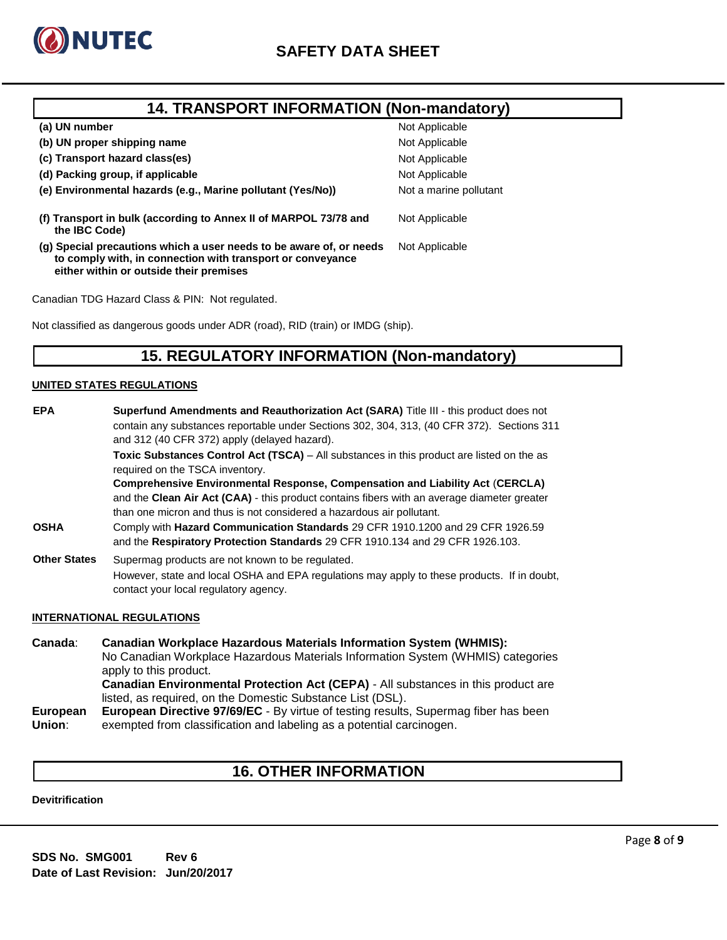

## **14. TRANSPORT INFORMATION (Non-mandatory)**

| (a) UN number                                                                                                                                                                | Not Applicable         |
|------------------------------------------------------------------------------------------------------------------------------------------------------------------------------|------------------------|
| (b) UN proper shipping name                                                                                                                                                  | Not Applicable         |
| (c) Transport hazard class(es)                                                                                                                                               | Not Applicable         |
| (d) Packing group, if applicable                                                                                                                                             | Not Applicable         |
| (e) Environmental hazards (e.g., Marine pollutant (Yes/No))                                                                                                                  | Not a marine pollutant |
| (f) Transport in bulk (according to Annex II of MARPOL 73/78 and<br>the IBC Code)                                                                                            | Not Applicable         |
| (g) Special precautions which a user needs to be aware of, or needs<br>to comply with, in connection with transport or conveyance<br>either within or outside their premises | Not Applicable         |
|                                                                                                                                                                              |                        |

Canadian TDG Hazard Class & PIN: Not regulated.

Not classified as dangerous goods under ADR (road), RID (train) or IMDG (ship).

# **15. REGULATORY INFORMATION (Non-mandatory)**

### **UNITED STATES REGULATIONS**

| <b>EPA</b>          | Superfund Amendments and Reauthorization Act (SARA) Title III - this product does not                                                                                                                                       |
|---------------------|-----------------------------------------------------------------------------------------------------------------------------------------------------------------------------------------------------------------------------|
|                     | contain any substances reportable under Sections 302, 304, 313, (40 CFR 372). Sections 311<br>and 312 (40 CFR 372) apply (delayed hazard).                                                                                  |
|                     | <b>Toxic Substances Control Act (TSCA)</b> – All substances in this product are listed on the as<br>required on the TSCA inventory.<br><b>Comprehensive Environmental Response, Compensation and Liability Act (CERCLA)</b> |
|                     |                                                                                                                                                                                                                             |
|                     | and the Clean Air Act (CAA) - this product contains fibers with an average diameter greater<br>than one micron and thus is not considered a hazardous air pollutant.                                                        |
| <b>OSHA</b>         | Comply with Hazard Communication Standards 29 CFR 1910.1200 and 29 CFR 1926.59<br>and the Respiratory Protection Standards 29 CFR 1910.134 and 29 CFR 1926.103.                                                             |
| <b>Other States</b> | Supermag products are not known to be regulated.                                                                                                                                                                            |
|                     | However, state and local OSHA and EPA regulations may apply to these products. If in doubt,<br>contact your local regulatory agency.                                                                                        |

#### **INTERNATIONAL REGULATIONS**

**Canada**: **Canadian Workplace Hazardous Materials Information System (WHMIS):** No Canadian Workplace Hazardous Materials Information System (WHMIS) categories apply to this product. **Canadian Environmental Protection Act (CEPA)** - All substances in this product are listed, as required, on the Domestic Substance List (DSL). **European Union**: **European Directive 97/69/EC** - By virtue of testing results, Supermag fiber has been exempted from classification and labeling as a potential carcinogen.

# **16. OTHER INFORMATION**

#### **Devitrification**